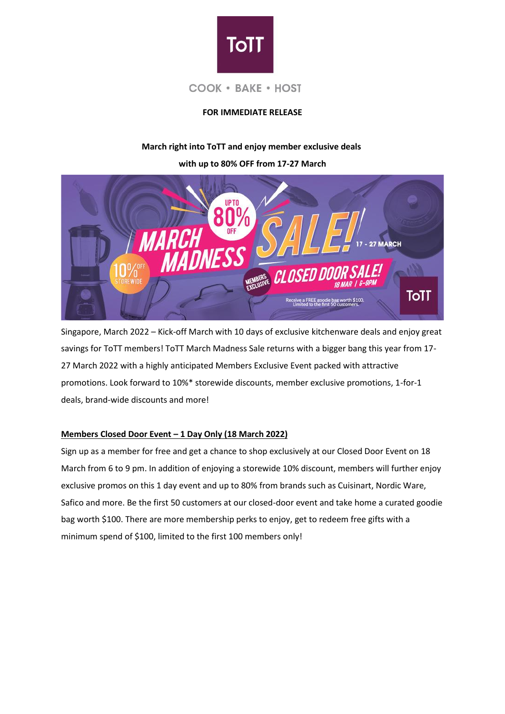

# **FOR IMMEDIATE RELEASE**

## **March right into ToTT and enjoy member exclusive deals**

**with up to 80% OFF from 17-27 March**



Singapore, March 2022 – Kick-off March with 10 days of exclusive kitchenware deals and enjoy great savings for ToTT members! ToTT March Madness Sale returns with a bigger bang this year from 17-27 March 2022 with a highly anticipated Members Exclusive Event packed with attractive promotions. Look forward to 10%\* storewide discounts, member exclusive promotions, 1-for-1 deals, brand-wide discounts and more!

## **Members Closed Door Event – 1 Day Only (18 March 2022)**

Sign up as a member for free and get a chance to shop exclusively at our Closed Door Event on 18 March from 6 to 9 pm. In addition of enjoying a storewide 10% discount, members will further enjoy exclusive promos on this 1 day event and up to 80% from brands such as Cuisinart, Nordic Ware, Safico and more. Be the first 50 customers at our closed-door event and take home a curated goodie bag worth \$100. There are more membership perks to enjoy, get to redeem free gifts with a minimum spend of \$100, limited to the first 100 members only!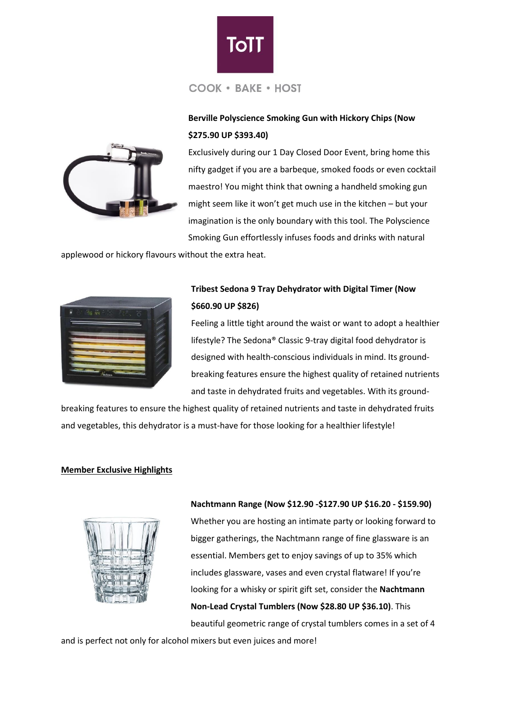

# **Berville Polyscience Smoking Gun with Hickory Chips (Now \$275.90 UP \$393.40)**



Exclusively during our 1 Day Closed Door Event, bring home this nifty gadget if you are a barbeque, smoked foods or even cocktail maestro! You might think that owning a handheld smoking gun might seem like it won't get much use in the kitchen – but your imagination is the only boundary with this tool. The Polyscience Smoking Gun effortlessly infuses foods and drinks with natural

applewood or hickory flavours without the extra heat.



# **Tribest Sedona 9 Tray Dehydrator with Digital Timer (Now \$660.90 UP \$826)**

Feeling a little tight around the waist or want to adopt a healthier lifestyle? The Sedona® Classic 9-tray digital food dehydrator is designed with health-conscious individuals in mind. Its groundbreaking features ensure the highest quality of retained nutrients and taste in dehydrated fruits and vegetables. With its ground-

breaking features to ensure the highest quality of retained nutrients and taste in dehydrated fruits and vegetables, this dehydrator is a must-have for those looking for a healthier lifestyle!

### **Member Exclusive Highlights**



**Nachtmann Range (Now \$12.90 -\$127.90 UP \$16.20 - \$159.90)** Whether you are hosting an intimate party or looking forward to bigger gatherings, the Nachtmann range of fine glassware is an essential. Members get to enjoy savings of up to 35% which includes glassware, vases and even crystal flatware! If you're looking for a whisky or spirit gift set, consider the **Nachtmann Non-Lead Crystal Tumblers (Now \$28.80 UP \$36.10)**. This beautiful geometric range of crystal tumblers comes in a set of 4

and is perfect not only for alcohol mixers but even juices and more!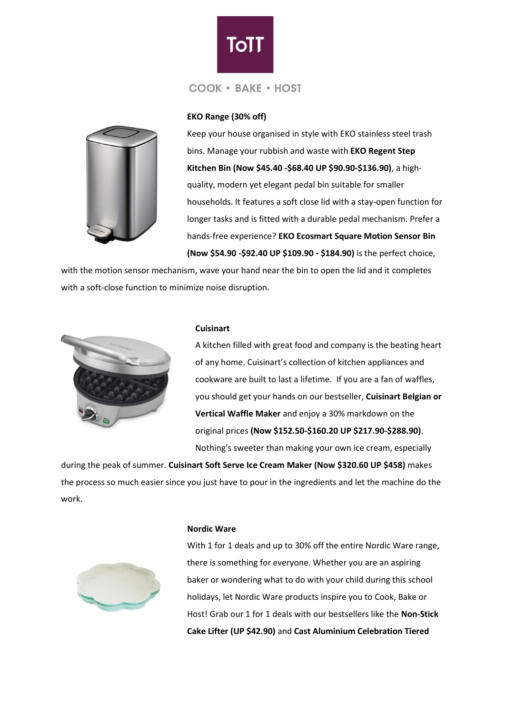



### **EKO Range (30% off)**

Keep your house organised in style with EKO stainless steel trash bins. Manage your rubbish and waste with **EKO Regent Step Kitchen Bin (Now \$45.40 -\$68.40 UP \$90.90-\$136.90)**, a highquality, modern yet elegant pedal bin suitable for smaller households. It features a soft close lid with a stay-open function for longer tasks and is fitted with a durable pedal mechanism. Prefer a hands-free experience? **EKO Ecosmart Square Motion Sensor Bin (Now \$54.90 -\$92.40 UP \$109.90 - \$184.90)** is the perfect choice,

with the motion sensor mechanism, wave your hand near the bin to open the lid and it completes with a soft-close function to minimize noise disruption.



#### **Cuisinart**

A kitchen filled with great food and company is the beating heart of any home. Cuisinart's collection of kitchen appliances and cookware are built to last a lifetime. If you are a fan of waffles, you should get your hands on our bestseller, **Cuisinart Belgian or Vertical Waffle Maker** and enjoy a 30% markdown on the original prices **(Now \$152.50-\$160.20 UP \$217.90-\$288.90)**. Nothing's sweeter than making your own ice cream, especially

during the peak of summer. **Cuisinart Soft Serve Ice Cream Maker (Now \$320.60 UP \$458)** makes the process so much easier since you just have to pour in the ingredients and let the machine do the work.



#### **Nordic Ware**

With 1 for 1 deals and up to 30% off the entire Nordic Ware range, there is something for everyone. Whether you are an aspiring baker or wondering what to do with your child during this school holidays, let Nordic Ware products inspire you to Cook, Bake or Host! Grab our 1 for 1 deals with our bestsellers like the **Non-Stick Cake Lifter (UP \$42.90)** and **Cast Aluminium Celebration Tiered**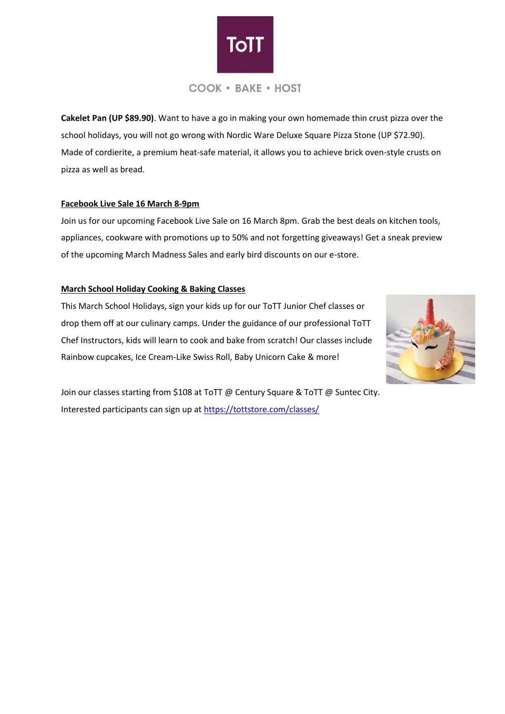

**Cakelet Pan (UP \$89.90)**. Want to have a go in making your own homemade thin crust pizza over the school holidays, you will not go wrong with Nordic Ware Deluxe Square Pizza Stone (UP \$72.90). Made of cordierite, a premium heat-safe material, it allows you to achieve brick oven-style crusts on pizza as well as bread.

### **Facebook Live Sale 16 March 8-9pm**

Join us for our upcoming Facebook Live Sale on 16 March 8pm. Grab the best deals on kitchen tools, appliances, cookware with promotions up to 50% and not forgetting giveaways! Get a sneak preview of the upcoming March Madness Sales and early bird discounts on our e-store.

### **March School Holiday Cooking & Baking Classes**

This March School Holidays, sign your kids up for our ToTT Junior Chef classes or drop them off at our culinary camps. Under the guidance of our professional ToTT Chef Instructors, kids will learn to cook and bake from scratch! Our classes include Rainbow cupcakes, Ice Cream-Like Swiss Roll, Baby Unicorn Cake & more!



Join our classes starting from \$108 at ToTT @ Century Square & ToTT @ Suntec City. Interested participants can sign up at<https://tottstore.com/classes/>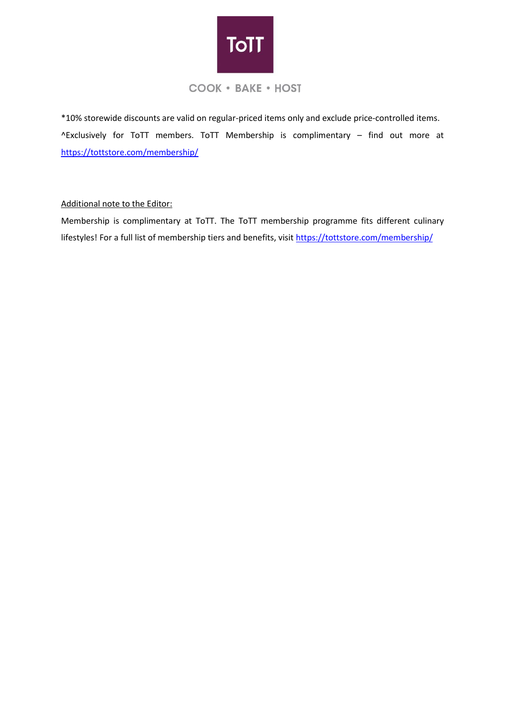

\*10% storewide discounts are valid on regular-priced items only and exclude price-controlled items. ^Exclusively for ToTT members. ToTT Membership is complimentary – find out more at <https://tottstore.com/membership/>

## Additional note to the Editor:

Membership is complimentary at ToTT. The ToTT membership programme fits different culinary lifestyles! For a full list of membership tiers and benefits, visi[t https://tottstore.com/membership/](https://tottstore.com/membership/)